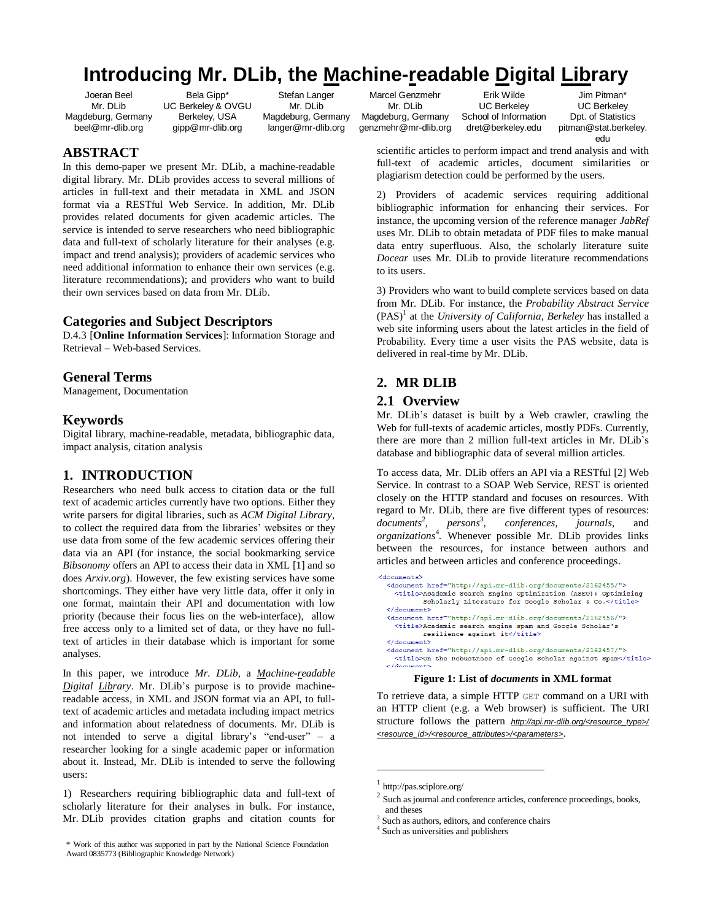# **Introducing Mr. DLib, the Machine-readable Digital Library**

Joeran Beel Mr. DLib Magdeburg, Germany beel@mr-dlib.org

**ABSTRACT**

Bela Gipp\* UC Berkeley & OVGU Berkeley, USA gipp@mr-dlib.org

In this demo-paper we present Mr. DLib, a machine-readable digital library. Mr. DLib provides access to several millions of articles in full-text and their metadata in XML and JSON format via a RESTful Web Service. In addition, Mr. DLib provides related documents for given academic articles. The service is intended to serve researchers who need bibliographic data and full-text of scholarly literature for their analyses (e.g. impact and trend analysis); providers of academic services who need additional information to enhance their own services (e.g. literature recommendations); and providers who want to build

Stefan Langer Mr. DLih Magdeburg, Germany langer@mr-dlib.org

Marcel Genzmehr Mr. DLib Magdeburg, Germany genzmehr@mr-dlib.org

Erik Wilde UC Berkeley School of Information dret@berkeley.edu

Jim Pitman\* UC Berkeley Dpt. of Statistics pitman@stat.berkeley. edu

scientific articles to perform impact and trend analysis and with full-text of academic articles, document similarities or plagiarism detection could be performed by the users.

2) Providers of academic services requiring additional bibliographic information for enhancing their services. For instance, the upcoming version of the reference manager *JabRef* uses Mr. DLib to obtain metadata of PDF files to make manual data entry superfluous. Also, the scholarly literature suite *Docear* uses Mr. DLib to provide literature recommendations to its users.

3) Providers who want to build complete services based on data from Mr. DLib. For instance, the *Probability Abstract Service*  $(PAS)^{1}$  at the *University of California, Berkeley* has installed a web site informing users about the latest articles in the field of Probability. Every time a user visits the PAS website, data is delivered in real-time by Mr. DLib.

# **2. MR DLIB**

### **2.1 Overview**

Mr. DLib"s dataset is built by a Web crawler, crawling the Web for full-texts of academic articles, mostly PDFs. Currently, there are more than 2 million full-text articles in Mr. DLib`s database and bibliographic data of several million articles.

To access data, Mr. DLib offers an API via a RESTful [\[2\]](#page-1-1) Web Service. In contrast to a SOAP Web Service, REST is oriented closely on the HTTP standard and focuses on resources. With regard to Mr. DLib, there are five different types of resources: *documents* 2 , *persons* 3 *, conferences, journals,* and *organizations*<sup>4</sup> *.* Whenever possible Mr. DLib provides links between the resources, for instance between authors and articles and between articles and conference proceedings.

#### **Figure 1: List of** *documents* **in XML format**

<span id="page-0-0"></span>To retrieve data, a simple HTTP GET command on a URI with an HTTP client (e.g. a Web browser) is sufficient. The URI structure follows the pattern *[http://api.mr-dlib.org/<resource\\_type>/](http://api.mr-dlib.org/%3cresource_type%3e/%20%3cresource_id%3e/%3cresource_attributes%3e/%3cparameters)  [<resource\\_id>/<resource\\_attributes>/<parameters>](http://api.mr-dlib.org/%3cresource_type%3e/%20%3cresource_id%3e/%3cresource_attributes%3e/%3cparameters)*.

l

Retrieval – Web-based Services*.*  **General Terms** Management, Documentation

their own services based on data from Mr. DLib.

**Categories and Subject Descriptors**

## **Keywords**

Digital library, machine-readable, metadata, bibliographic data, impact analysis, citation analysis

D.4.3 [**Online Information Services**]: Information Storage and

# **1. INTRODUCTION**

Researchers who need bulk access to citation data or the full text of academic articles currently have two options. Either they write parsers for digital libraries, such as *ACM Digital Library*, to collect the required data from the libraries" websites or they use data from some of the few academic services offering their data via an API (for instance, the social bookmarking service *Bibsonomy* offers an API to access their data in XML [\[1\]](#page-1-0) and so does *Arxiv.org*). However, the few existing services have some shortcomings. They either have very little data, offer it only in one format, maintain their API and documentation with low priority (because their focus lies on the web-interface), allow free access only to a limited set of data, or they have no fulltext of articles in their database which is important for some analyses.

In this paper, we introduce *Mr. DLib*, a *Machine-readable Digital Library*. Mr. DLib"s purpose is to provide machinereadable access, in XML and JSON format via an API, to fulltext of academic articles and metadata including impact metrics and information about relatedness of documents. Mr. DLib is not intended to serve a digital library's "end-user" – a researcher looking for a single academic paper or information about it. Instead, Mr. DLib is intended to serve the following users:

1) Researchers requiring bibliographic data and full-text of scholarly literature for their analyses in bulk. For instance, Mr. DLib provides citation graphs and citation counts for

<sup>&</sup>lt;documents> <document href="http://api.mr-dlib.org/documents/2162455/"> <title>Academic Search Engine Optimization (ASEO): Optimizing Scholarly Literature for Google Scholar & Co.</title>  $\langle$ /document> <document href="http://api.mr-dlib.org/documents/2162456/"> <title>Academic search engine spam and Google Scholar's resilience against  $it \lt /title$ </document> <document href="http://api.mr-dlib.org/documents/2162457/"> <title>On the Robustness of Google Scholar Against Spam</title>  $\epsilon / \lambda$ 

<sup>1</sup> http://pas.sciplore.org/

<sup>2</sup> Such as journal and conference articles, conference proceedings, books, and theses

<sup>3</sup> Such as authors, editors, and conference chairs

<sup>4</sup> Such as universities and publishers

<sup>\*</sup> Work of this author was supported in part by the National Science Foundation Award 0835773 (Bibliographic Knowledge Network)